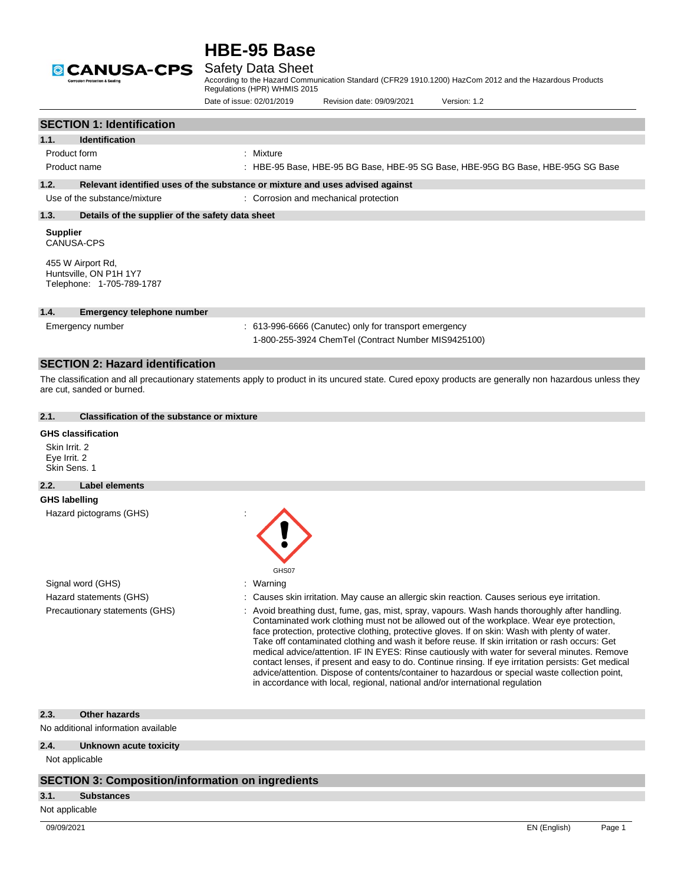

According to the Hazard Communication Standard (CFR29 1910.1200) HazCom 2012 and the Hazardous Products Regulations (HPR) WHMIS 2015

|                                                                                                                                         | Date of issue: 02/01/2019                                                     | Revision date: 09/09/2021                                                                                    | Version: 1.2                                                                                                                                                                                                                                                                                                                                                                                                                                                                                                                                                                                                                                                                                                                                                                                |
|-----------------------------------------------------------------------------------------------------------------------------------------|-------------------------------------------------------------------------------|--------------------------------------------------------------------------------------------------------------|---------------------------------------------------------------------------------------------------------------------------------------------------------------------------------------------------------------------------------------------------------------------------------------------------------------------------------------------------------------------------------------------------------------------------------------------------------------------------------------------------------------------------------------------------------------------------------------------------------------------------------------------------------------------------------------------------------------------------------------------------------------------------------------------|
| <b>SECTION 1: Identification</b>                                                                                                        |                                                                               |                                                                                                              |                                                                                                                                                                                                                                                                                                                                                                                                                                                                                                                                                                                                                                                                                                                                                                                             |
| 1.1.<br><b>Identification</b>                                                                                                           |                                                                               |                                                                                                              |                                                                                                                                                                                                                                                                                                                                                                                                                                                                                                                                                                                                                                                                                                                                                                                             |
| Product form                                                                                                                            | : Mixture                                                                     |                                                                                                              |                                                                                                                                                                                                                                                                                                                                                                                                                                                                                                                                                                                                                                                                                                                                                                                             |
| Product name                                                                                                                            |                                                                               |                                                                                                              | : HBE-95 Base, HBE-95 BG Base, HBE-95 SG Base, HBE-95G BG Base, HBE-95G SG Base                                                                                                                                                                                                                                                                                                                                                                                                                                                                                                                                                                                                                                                                                                             |
| 1.2.                                                                                                                                    | Relevant identified uses of the substance or mixture and uses advised against |                                                                                                              |                                                                                                                                                                                                                                                                                                                                                                                                                                                                                                                                                                                                                                                                                                                                                                                             |
| Use of the substance/mixture                                                                                                            |                                                                               | : Corrosion and mechanical protection                                                                        |                                                                                                                                                                                                                                                                                                                                                                                                                                                                                                                                                                                                                                                                                                                                                                                             |
| 1.3.<br>Details of the supplier of the safety data sheet                                                                                |                                                                               |                                                                                                              |                                                                                                                                                                                                                                                                                                                                                                                                                                                                                                                                                                                                                                                                                                                                                                                             |
| <b>Supplier</b><br><b>CANUSA-CPS</b>                                                                                                    |                                                                               |                                                                                                              |                                                                                                                                                                                                                                                                                                                                                                                                                                                                                                                                                                                                                                                                                                                                                                                             |
| 455 W Airport Rd,<br>Huntsville, ON P1H 1Y7<br>Telephone: 1-705-789-1787                                                                |                                                                               |                                                                                                              |                                                                                                                                                                                                                                                                                                                                                                                                                                                                                                                                                                                                                                                                                                                                                                                             |
| 1.4.<br><b>Emergency telephone number</b>                                                                                               |                                                                               |                                                                                                              |                                                                                                                                                                                                                                                                                                                                                                                                                                                                                                                                                                                                                                                                                                                                                                                             |
| Emergency number                                                                                                                        |                                                                               | : 613-996-6666 (Canutec) only for transport emergency<br>1-800-255-3924 ChemTel (Contract Number MIS9425100) |                                                                                                                                                                                                                                                                                                                                                                                                                                                                                                                                                                                                                                                                                                                                                                                             |
| <b>SECTION 2: Hazard identification</b>                                                                                                 |                                                                               |                                                                                                              |                                                                                                                                                                                                                                                                                                                                                                                                                                                                                                                                                                                                                                                                                                                                                                                             |
| 2.1.<br><b>Classification of the substance or mixture</b><br><b>GHS classification</b><br>Skin Irrit. 2<br>Eye Irrit. 2<br>Skin Sens. 1 |                                                                               |                                                                                                              |                                                                                                                                                                                                                                                                                                                                                                                                                                                                                                                                                                                                                                                                                                                                                                                             |
| 2.2.<br>Label elements                                                                                                                  |                                                                               |                                                                                                              |                                                                                                                                                                                                                                                                                                                                                                                                                                                                                                                                                                                                                                                                                                                                                                                             |
| <b>GHS labelling</b>                                                                                                                    |                                                                               |                                                                                                              |                                                                                                                                                                                                                                                                                                                                                                                                                                                                                                                                                                                                                                                                                                                                                                                             |
| Hazard pictograms (GHS)                                                                                                                 | GHS07                                                                         |                                                                                                              |                                                                                                                                                                                                                                                                                                                                                                                                                                                                                                                                                                                                                                                                                                                                                                                             |
| Signal word (GHS)                                                                                                                       | : Warning                                                                     |                                                                                                              |                                                                                                                                                                                                                                                                                                                                                                                                                                                                                                                                                                                                                                                                                                                                                                                             |
| Hazard statements (GHS)                                                                                                                 |                                                                               |                                                                                                              | Causes skin irritation. May cause an allergic skin reaction. Causes serious eye irritation.                                                                                                                                                                                                                                                                                                                                                                                                                                                                                                                                                                                                                                                                                                 |
| Precautionary statements (GHS)                                                                                                          |                                                                               |                                                                                                              | Avoid breathing dust, fume, gas, mist, spray, vapours. Wash hands thoroughly after handling.<br>Contaminated work clothing must not be allowed out of the workplace. Wear eye protection,<br>face protection, protective clothing, protective gloves. If on skin: Wash with plenty of water.<br>Take off contaminated clothing and wash it before reuse. If skin irritation or rash occurs: Get<br>medical advice/attention. IF IN EYES: Rinse cautiously with water for several minutes. Remove<br>contact lenses, if present and easy to do. Continue rinsing. If eye irritation persists: Get medical<br>advice/attention. Dispose of contents/container to hazardous or special waste collection point,<br>in accordance with local, regional, national and/or international regulation |

### **2.3. Other hazards**

No additional information available

### **2.4. Unknown acute toxicity**

Not applicable

### **SECTION 3: Composition/information on ingredients**

### **3.1. Substances**

Not applicable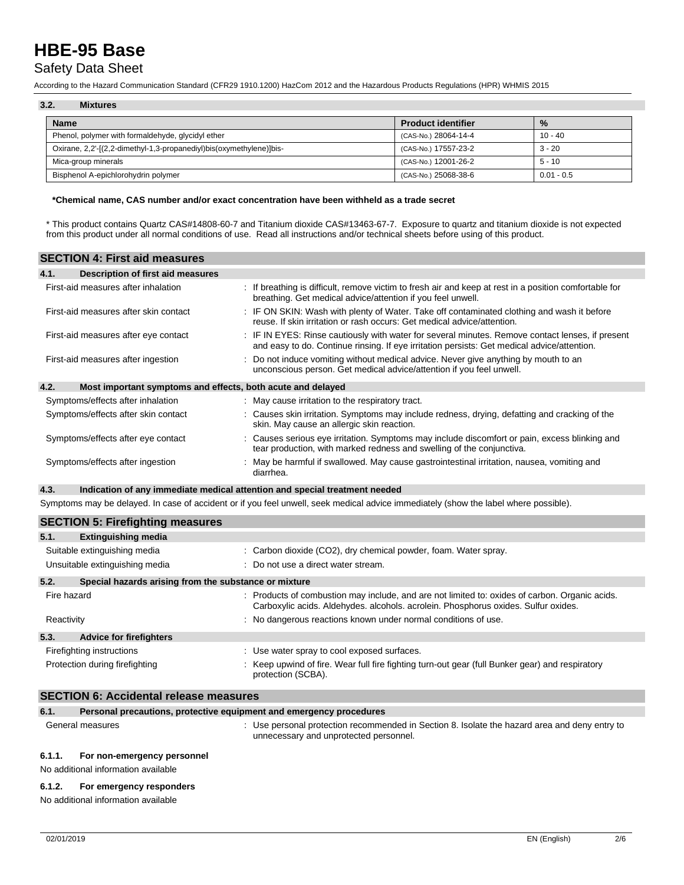## Safety Data Sheet

According to the Hazard Communication Standard (CFR29 1910.1200) HazCom 2012 and the Hazardous Products Regulations (HPR) WHMIS 2015

| 3.2.<br><b>Mixtures</b>                                             |                           |              |  |  |  |  |
|---------------------------------------------------------------------|---------------------------|--------------|--|--|--|--|
| <b>Name</b>                                                         | <b>Product identifier</b> | $\%$         |  |  |  |  |
| Phenol, polymer with formaldehyde, glycidyl ether                   | (CAS-No.) 28064-14-4      | $10 - 40$    |  |  |  |  |
| Oxirane, 2,2'-[(2,2-dimethyl-1,3-propanediyl)bis(oxymethylene)]bis- | (CAS-No.) 17557-23-2      | 3 - 20       |  |  |  |  |
| Mica-group minerals                                                 | (CAS-No.) 12001-26-2      | $5 - 10$     |  |  |  |  |
| Bisphenol A-epichlorohydrin polymer                                 | (CAS-No.) 25068-38-6      | $0.01 - 0.5$ |  |  |  |  |

#### **\*Chemical name, CAS number and/or exact concentration have been withheld as a trade secret**

\* This product contains Quartz CAS#14808-60-7 and Titanium dioxide CAS#13463-67-7. Exposure to quartz and titanium dioxide is not expected from this product under all normal conditions of use. Read all instructions and/or technical sheets before using of this product.

| <b>SECTION 4: First aid measures</b>      |                                                                                                                                                                                               |
|-------------------------------------------|-----------------------------------------------------------------------------------------------------------------------------------------------------------------------------------------------|
| 4.1.<br>Description of first aid measures |                                                                                                                                                                                               |
| First-aid measures after inhalation       | If breathing is difficult, remove victim to fresh air and keep at rest in a position comfortable for<br>breathing. Get medical advice/attention if you feel unwell.                           |
| First-aid measures after skin contact     | IF ON SKIN: Wash with plenty of Water. Take off contaminated clothing and wash it before<br>reuse. If skin irritation or rash occurs: Get medical advice/attention.                           |
| First-aid measures after eye contact      | IF IN EYES: Rinse cautiously with water for several minutes. Remove contact lenses, if present<br>and easy to do. Continue rinsing. If eye irritation persists: Get medical advice/attention. |
| First-aid measures after ingestion        | Do not induce vomiting without medical advice. Never give anything by mouth to an<br>unconscious person. Get medical advice/attention if you feel unwell.                                     |
| 4.2.                                      | Most important symptoms and effects, both acute and delayed                                                                                                                                   |
| Symptoms/effects after inhalation         | : May cause irritation to the respiratory tract.                                                                                                                                              |
| Symptoms/effects after skin contact       | : Causes skin irritation. Symptoms may include redness, drying, defatting and cracking of the<br>skin. May cause an allergic skin reaction.                                                   |
| Symptoms/effects after eye contact        | Causes serious eye irritation. Symptoms may include discomfort or pain, excess blinking and<br>tear production, with marked redness and swelling of the conjunctiva.                          |
| Symptoms/effects after ingestion          | May be harmful if swallowed. May cause gastrointestinal irritation, nausea, vomiting and<br>diarrhea.                                                                                         |
| 4.3.                                      | Indication of any immediate medical attention and special treatment needed                                                                                                                    |
|                                           | Symptoms may be delayed. In case of accident or if you feel unwell, seek medical advice immediately (show the label where possible).                                                          |
| <b>SECTION 5: Firefighting measures</b>   |                                                                                                                                                                                               |
| 51<br><b>Extinguishing media</b>          |                                                                                                                                                                                               |

|             | $-$                                                            |                                                                                                                                                                                      |
|-------------|----------------------------------------------------------------|--------------------------------------------------------------------------------------------------------------------------------------------------------------------------------------|
|             | Suitable extinguishing media<br>Unsuitable extinguishing media | : Carbon dioxide (CO2), dry chemical powder, foam. Water spray.<br>$\therefore$ Do not use a direct water stream.                                                                    |
| 5.2.        | Special hazards arising from the substance or mixture          |                                                                                                                                                                                      |
|             |                                                                |                                                                                                                                                                                      |
| Fire hazard |                                                                | : Products of combustion may include, and are not limited to: oxides of carbon. Organic acids.<br>Carboxylic acids. Aldehydes. alcohols. acrolein. Phosphorus oxides. Sulfur oxides. |
| Reactivity  |                                                                | : No dangerous reactions known under normal conditions of use.                                                                                                                       |
| 5.3.        | <b>Advice for firefighters</b>                                 |                                                                                                                                                                                      |
|             | Firefighting instructions                                      | : Use water spray to cool exposed surfaces.                                                                                                                                          |
|             | Protection during firefighting                                 | Keep upwind of fire. Wear full fire fighting turn-out gear (full Bunker gear) and respiratory<br>protection (SCBA).                                                                  |

### **SECTION 6: Accidental release measures**

| 6.1.   | Personal precautions, protective equipment and emergency procedures |                                                                                                                                         |
|--------|---------------------------------------------------------------------|-----------------------------------------------------------------------------------------------------------------------------------------|
|        | General measures                                                    | : Use personal protection recommended in Section 8. Isolate the hazard area and deny entry to<br>unnecessary and unprotected personnel. |
| 6.1.1. | For non-emergency personnel                                         |                                                                                                                                         |

No additional information available

### **6.1.2. For emergency responders**

No additional information available

 $\mathcal{L}_{\mathcal{A}}$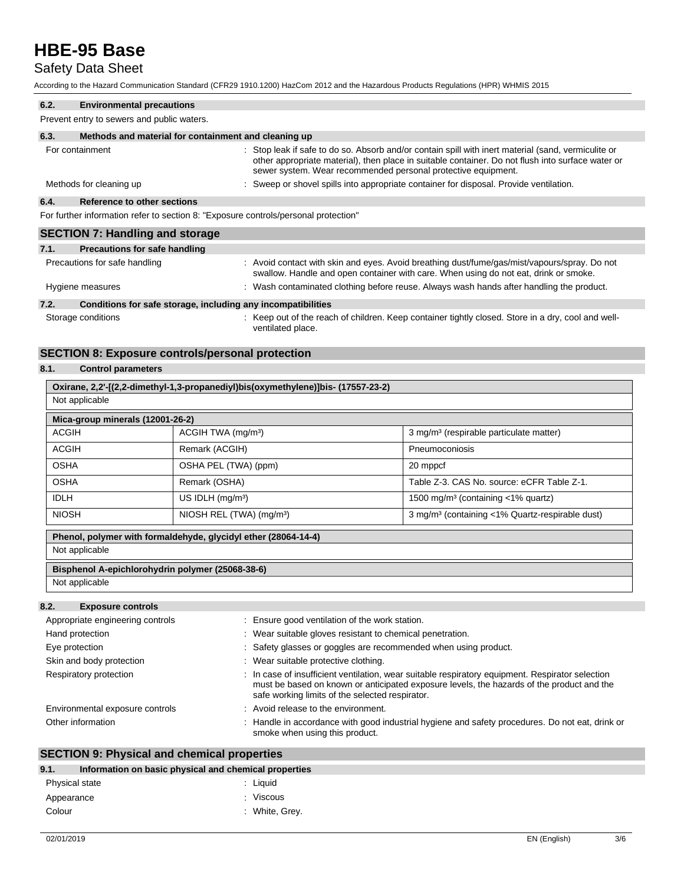# Safety Data Sheet

According to the Hazard Communication Standard (CFR29 1910.1200) HazCom 2012 and the Hazardous Products Regulations (HPR) WHMIS 2015

| 6.2. | <b>Environmental precautions</b>                                                    |                                                                                                                                                                                                                                                                           |
|------|-------------------------------------------------------------------------------------|---------------------------------------------------------------------------------------------------------------------------------------------------------------------------------------------------------------------------------------------------------------------------|
|      | Prevent entry to sewers and public waters.                                          |                                                                                                                                                                                                                                                                           |
| 6.3. | Methods and material for containment and cleaning up                                |                                                                                                                                                                                                                                                                           |
|      | For containment                                                                     | : Stop leak if safe to do so. Absorb and/or contain spill with inert material (sand, vermiculite or<br>other appropriate material), then place in suitable container. Do not flush into surface water or<br>sewer system. Wear recommended personal protective equipment. |
|      | Methods for cleaning up                                                             | : Sweep or shovel spills into appropriate container for disposal. Provide ventilation.                                                                                                                                                                                    |
| 6.4. | Reference to other sections                                                         |                                                                                                                                                                                                                                                                           |
|      | For further information refer to section 8: "Exposure controls/personal protection" |                                                                                                                                                                                                                                                                           |
|      | <b>SECTION 7: Handling and storage</b>                                              |                                                                                                                                                                                                                                                                           |
| 7.1. | <b>Precautions for safe handling</b>                                                |                                                                                                                                                                                                                                                                           |
|      | Precautions for safe handling                                                       | : Avoid contact with skin and eyes. Avoid breathing dust/fume/gas/mist/vapours/spray. Do not<br>swallow. Handle and open container with care. When using do not eat, drink or smoke.                                                                                      |
|      | Hygiene measures                                                                    | : Wash contaminated clothing before reuse. Always wash hands after handling the product.                                                                                                                                                                                  |
| 72   | Conditions for safe storage including any incompatibilities                         |                                                                                                                                                                                                                                                                           |

#### **7.2. Conditions for safe storage, including any incompatibilities**

Storage conditions **Storage conditions** : Keep out of the reach of children. Keep container tightly closed. Store in a dry, cool and wellventilated place.

### **SECTION 8: Exposure controls/personal protection**

### **8.1. Control parameters**

| Oxirane, 2,2'-[(2,2-dimethyl-1,3-propanediyl)bis(oxymethylene)]bis- (17557-23-2) |                                      |                                                             |  |  |  |  |
|----------------------------------------------------------------------------------|--------------------------------------|-------------------------------------------------------------|--|--|--|--|
|                                                                                  | Not applicable                       |                                                             |  |  |  |  |
| Mica-group minerals (12001-26-2)                                                 |                                      |                                                             |  |  |  |  |
| <b>ACGIH</b>                                                                     | ACGIH TWA (mg/m <sup>3</sup> )       | 3 mg/m <sup>3</sup> (respirable particulate matter)         |  |  |  |  |
| <b>ACGIH</b>                                                                     | Remark (ACGIH)                       | Pneumoconiosis                                              |  |  |  |  |
| <b>OSHA</b>                                                                      | OSHA PEL (TWA) (ppm)                 | 20 mppcf                                                    |  |  |  |  |
| <b>OSHA</b>                                                                      | Remark (OSHA)                        | Table Z-3, CAS No. source: eCFR Table Z-1.                  |  |  |  |  |
| <b>IDLH</b>                                                                      | US IDLH $(mg/m3)$                    | 1500 mg/m <sup>3</sup> (containing $\langle$ 1% quartz)     |  |  |  |  |
| <b>NIOSH</b>                                                                     | NIOSH REL (TWA) (mg/m <sup>3</sup> ) | 3 mg/m <sup>3</sup> (containing <1% Quartz-respirable dust) |  |  |  |  |
| Phenol, polymer with formaldehyde, glycidyl ether (28064-14-4)                   |                                      |                                                             |  |  |  |  |
| Not applicable                                                                   |                                      |                                                             |  |  |  |  |
| Bisphenol A-epichlorohydrin polymer (25068-38-6)                                 |                                      |                                                             |  |  |  |  |
| Not applicable                                                                   |                                      |                                                             |  |  |  |  |
|                                                                                  |                                      |                                                             |  |  |  |  |

## **8.2. Exposure controls**

| Appropriate engineering controls | : Ensure good ventilation of the work station.                                                                                                                                                                                                   |
|----------------------------------|--------------------------------------------------------------------------------------------------------------------------------------------------------------------------------------------------------------------------------------------------|
| Hand protection                  | : Wear suitable gloves resistant to chemical penetration.                                                                                                                                                                                        |
| Eye protection                   | : Safety glasses or goggles are recommended when using product.                                                                                                                                                                                  |
| Skin and body protection         | : Wear suitable protective clothing.                                                                                                                                                                                                             |
| Respiratory protection           | : In case of insufficient ventilation, wear suitable respiratory equipment. Respirator selection<br>must be based on known or anticipated exposure levels, the hazards of the product and the<br>safe working limits of the selected respirator. |
| Environmental exposure controls  | : Avoid release to the environment.                                                                                                                                                                                                              |
| Other information                | Handle in accordance with good industrial hygiene and safety procedures. Do not eat, drink or<br>smoke when using this product.                                                                                                                  |

## **SECTION 9: Physical and chemical properties**

| 9.1.           | Information on basic physical and chemical properties |                |  |
|----------------|-------------------------------------------------------|----------------|--|
| Physical state |                                                       | : Liauid       |  |
| Appearance     |                                                       | : Viscous      |  |
| Colour         |                                                       | : White, Grey. |  |
|                |                                                       |                |  |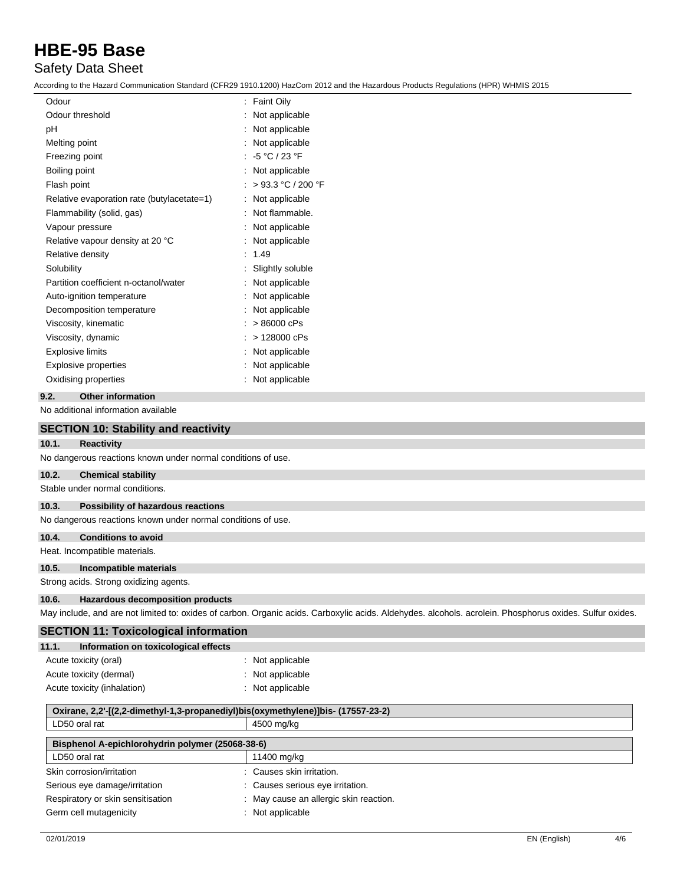# Safety Data Sheet

According to the Hazard Communication Standard (CFR29 1910.1200) HazCom 2012 and the Hazardous Products Regulations (HPR) WHMIS 2015

| Odour                                      | <b>Faint Oily</b><br>÷. |
|--------------------------------------------|-------------------------|
| Odour threshold                            | Not applicable          |
| рH                                         | Not applicable          |
| Melting point                              | Not applicable          |
| Freezing point                             | : -5 °C / 23 °F         |
| Boiling point                              | Not applicable          |
| Flash point                                | > 93.3 °C / 200 °F      |
| Relative evaporation rate (butylacetate=1) | Not applicable          |
| Flammability (solid, gas)                  | Not flammable.          |
| Vapour pressure                            | Not applicable          |
| Relative vapour density at 20 °C           | Not applicable          |
| Relative density                           | 1.49                    |
| Solubility                                 | Slightly soluble        |
| Partition coefficient n-octanol/water      | Not applicable          |
| Auto-ignition temperature                  | Not applicable          |
| Decomposition temperature                  | Not applicable          |
| Viscosity, kinematic                       | > 86000 cPs             |
| Viscosity, dynamic                         | > 128000 cPs            |
| <b>Explosive limits</b>                    | Not applicable          |
| Explosive properties                       | Not applicable          |
| Oxidising properties                       | Not applicable          |
|                                            |                         |

### **9.2. Other information**

No additional information available

|       | <b>SECTION 10: Stability and reactivity</b>                  |                                                                                                                                                          |
|-------|--------------------------------------------------------------|----------------------------------------------------------------------------------------------------------------------------------------------------------|
| 10.1. | <b>Reactivity</b>                                            |                                                                                                                                                          |
|       | No dangerous reactions known under normal conditions of use. |                                                                                                                                                          |
| 10.2. | <b>Chemical stability</b>                                    |                                                                                                                                                          |
|       | Stable under normal conditions.                              |                                                                                                                                                          |
| 10.3. | Possibility of hazardous reactions                           |                                                                                                                                                          |
|       | No dangerous reactions known under normal conditions of use. |                                                                                                                                                          |
| 10.4. | <b>Conditions to avoid</b>                                   |                                                                                                                                                          |
|       | Heat. Incompatible materials.                                |                                                                                                                                                          |
| 10.5. | Incompatible materials                                       |                                                                                                                                                          |
|       | Strong acids. Strong oxidizing agents.                       |                                                                                                                                                          |
| 10.6. | <b>Hazardous decomposition products</b>                      |                                                                                                                                                          |
|       |                                                              | May include, and are not limited to: oxides of carbon. Organic acids. Carboxylic acids. Aldehydes. alcohols. acrolein. Phosphorus oxides. Sulfur oxides. |
|       | <b>SECTION 11: Toxicological information</b>                 |                                                                                                                                                          |
| 11.1. | Information on toxicological effects                         |                                                                                                                                                          |
|       | Acute toxicity (oral)                                        | : Not applicable                                                                                                                                         |
|       | Acute toxicity (dermal)                                      | : Not applicable                                                                                                                                         |
|       | Acute toxicity (inhalation)                                  | : Not applicable                                                                                                                                         |

| Oxirane, 2,2'-[(2,2-dimethyl-1,3-propanediyl)bis(oxymethylene)]bis- (17557-23-2) |                                        |  |  |
|----------------------------------------------------------------------------------|----------------------------------------|--|--|
| LD50 oral rat                                                                    | 4500 mg/kg                             |  |  |
| Bisphenol A-epichlorohydrin polymer (25068-38-6)                                 |                                        |  |  |
| LD50 oral rat                                                                    | 11400 mg/kg                            |  |  |
| Skin corrosion/irritation                                                        | : Causes skin irritation.              |  |  |
| Serious eye damage/irritation                                                    | : Causes serious eye irritation.       |  |  |
| Respiratory or skin sensitisation                                                | : May cause an allergic skin reaction. |  |  |
| Germ cell mutagenicity                                                           | Not applicable                         |  |  |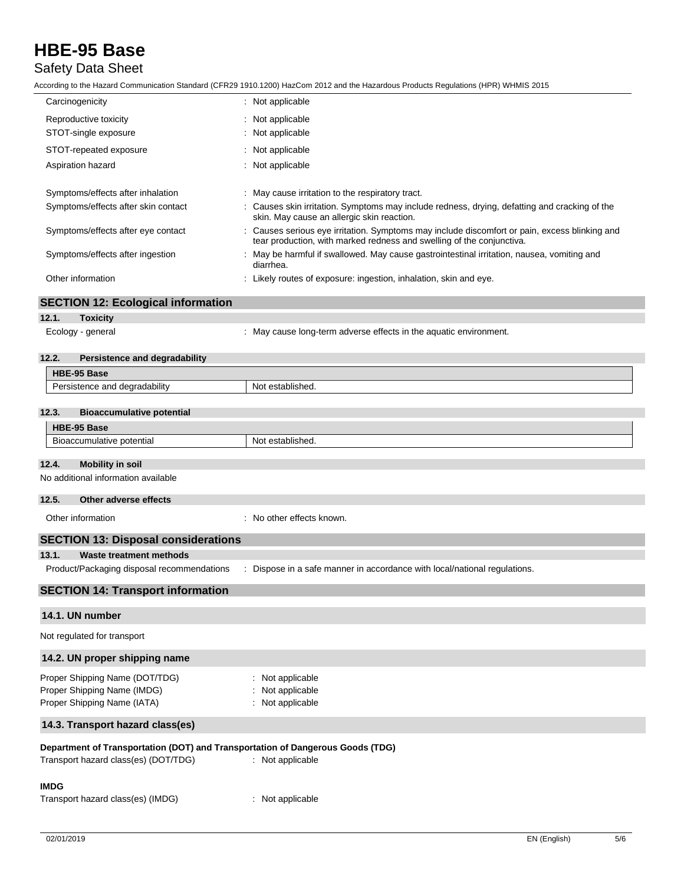## Safety Data Sheet

According to the Hazard Communication Standard (CFR29 1910.1200) HazCom 2012 and the Hazardous Products Regulations (HPR) WHMIS 2015

|                                            | ccording to the Hazard Communication Standard (CFR29 1910.1200) HazCom 2012 and the Hazardous Products Regulations (HPR) WHMIS 2015.                                 |  |
|--------------------------------------------|----------------------------------------------------------------------------------------------------------------------------------------------------------------------|--|
| Carcinogenicity                            | : Not applicable                                                                                                                                                     |  |
| Reproductive toxicity                      | : Not applicable                                                                                                                                                     |  |
| STOT-single exposure                       | Not applicable                                                                                                                                                       |  |
| STOT-repeated exposure                     | : Not applicable                                                                                                                                                     |  |
| Aspiration hazard                          | : Not applicable                                                                                                                                                     |  |
| Symptoms/effects after inhalation          | : May cause irritation to the respiratory tract.                                                                                                                     |  |
| Symptoms/effects after skin contact        | Causes skin irritation. Symptoms may include redness, drying, defatting and cracking of the<br>skin. May cause an allergic skin reaction.                            |  |
| Symptoms/effects after eye contact         | Causes serious eye irritation. Symptoms may include discomfort or pain, excess blinking and<br>tear production, with marked redness and swelling of the conjunctiva. |  |
| Symptoms/effects after ingestion           | : May be harmful if swallowed. May cause gastrointestinal irritation, nausea, vomiting and<br>diarrhea.                                                              |  |
| Other information                          | : Likely routes of exposure: ingestion, inhalation, skin and eye.                                                                                                    |  |
| <b>SECTION 12: Ecological information</b>  |                                                                                                                                                                      |  |
| <b>Toxicity</b><br>12.1.                   |                                                                                                                                                                      |  |
| Ecology - general                          | : May cause long-term adverse effects in the aquatic environment.                                                                                                    |  |
| 12.2.<br>Persistence and degradability     |                                                                                                                                                                      |  |
| HBE-95 Base                                |                                                                                                                                                                      |  |
| Persistence and degradability              | Not established.                                                                                                                                                     |  |
|                                            |                                                                                                                                                                      |  |
| 12.3.<br><b>Bioaccumulative potential</b>  |                                                                                                                                                                      |  |
| HBE-95 Base                                |                                                                                                                                                                      |  |
| Bioaccumulative potential                  | Not established.                                                                                                                                                     |  |
| 12.4.<br><b>Mobility in soil</b>           |                                                                                                                                                                      |  |
| No additional information available        |                                                                                                                                                                      |  |
|                                            |                                                                                                                                                                      |  |
| 12.5.<br>Other adverse effects             |                                                                                                                                                                      |  |
| Other information                          | : No other effects known.                                                                                                                                            |  |
| <b>SECTION 13: Disposal considerations</b> |                                                                                                                                                                      |  |
| 13.1.<br>Waste treatment methods           |                                                                                                                                                                      |  |
| Product/Packaging disposal recommendations | Dispose in a safe manner in accordance with local/national regulations.                                                                                              |  |
|                                            |                                                                                                                                                                      |  |

## **SECTION 14: Transport information**

### **14.1. UN number**

Not regulated for transport

# **14.2. UN proper shipping name** Proper Shipping Name (DOT/TDG) : Not applicable Proper Shipping Name (IMDG) : Not applicable Proper Shipping Name (IATA) : Not applicable **14.3. Transport hazard class(es) Department of Transportation (DOT) and Transportation of Dangerous Goods (TDG)**<br>Transport hazard class(es) (DOT/TDG) : Not applicable Transport hazard class(es) (DOT/TDG) **IMDG**